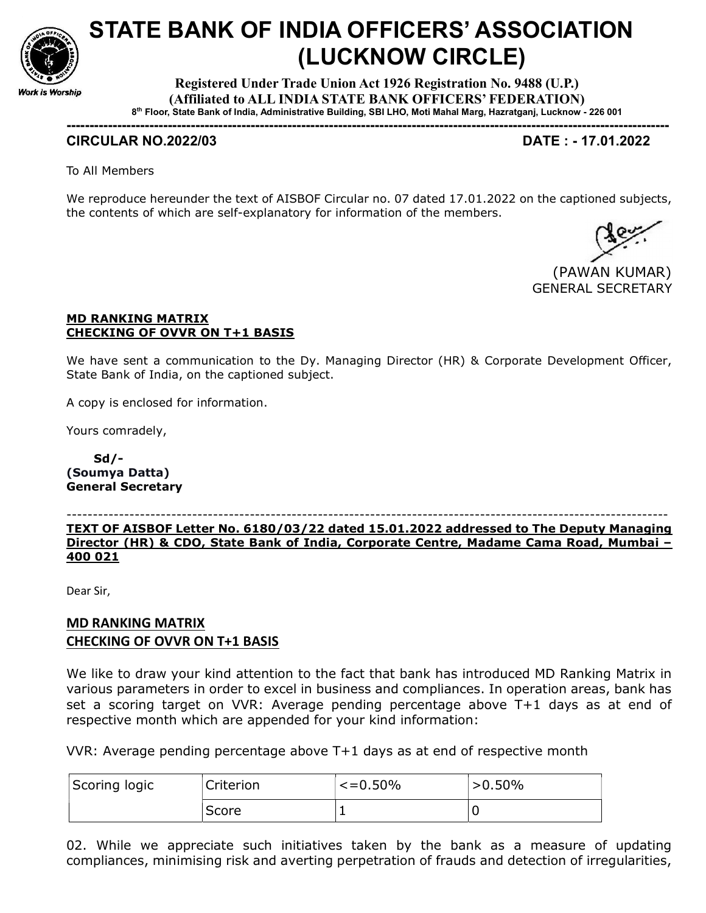

# STATE BANK OF INDIA OFFICERS' ASSOCIATION (LUCKNOW CIRCLE)

Registered Under Trade Union Act 1926 Registration No. 9488 (U.P.) (Affiliated to ALL INDIA STATE BANK OFFICERS' FEDERATION) 8 th Floor, State Bank of India, Administrative Building, SBI LHO, Moti Mahal Marg, Hazratganj, Lucknow - 226 001

-----------------------------------------------------------------------------------------------------------------------------------

### CIRCULAR NO.2022/03 DATE : - 17.01.2022

To All Members

We reproduce hereunder the text of AISBOF Circular no. 07 dated 17.01.2022 on the captioned subjects, the contents of which are self-explanatory for information of the members.



### MD RANKING MATRIX CHECKING OF OVVR ON T+1 BASIS

We have sent a communication to the Dy. Managing Director (HR) & Corporate Development Officer, State Bank of India, on the captioned subject.

A copy is enclosed for information.

Yours comradely,

 Sd/- (Soumya Datta) General Secretary

-------------------------------------------------------------------------------------------------------------------

TEXT OF AISBOF Letter No. 6180/03/22 dated 15.01.2022 addressed to The Deputy Managing Director (HR) & CDO, State Bank of India, Corporate Centre, Madame Cama Road, Mumbai – 400 021

Dear Sir,

## MD RANKING MATRIX CHECKING OF OVVR ON T+1 BASIS

We like to draw your kind attention to the fact that bank has introduced MD Ranking Matrix in various parameters in order to excel in business and compliances. In operation areas, bank has set a scoring target on VVR: Average pending percentage above T+1 days as at end of respective month which are appended for your kind information:

VVR: Average pending percentage above T+1 days as at end of respective month

| Scoring logic | Criterion | $\le$ =0.50% | $>0.50\%$ |
|---------------|-----------|--------------|-----------|
|               | Score     |              |           |

02. While we appreciate such initiatives taken by the bank as a measure of updating compliances, minimising risk and averting perpetration of frauds and detection of irregularities,